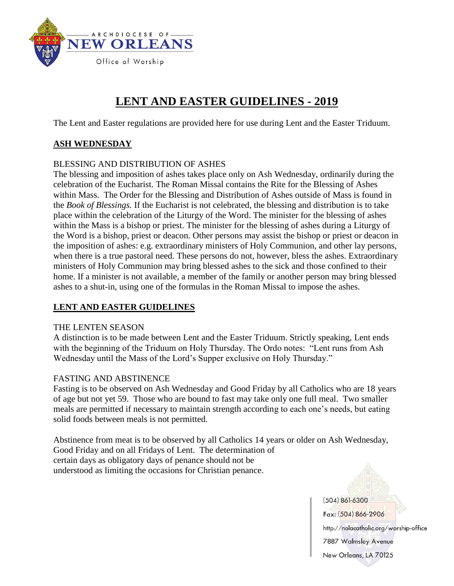

# **LENT AND EASTER GUIDELINES - 2019**

The Lent and Easter regulations are provided here for use during Lent and the Easter Triduum.

### **ASH WEDNESDAY**

#### BLESSING AND DISTRIBUTION OF ASHES

The blessing and imposition of ashes takes place only on Ash Wednesday, ordinarily during the celebration of the Eucharist. The Roman Missal contains the Rite for the Blessing of Ashes within Mass. The Order for the Blessing and Distribution of Ashes outside of Mass is found in the *Book of Blessings.* If the Eucharist is not celebrated, the blessing and distribution is to take place within the celebration of the Liturgy of the Word. The minister for the blessing of ashes within the Mass is a bishop or priest. The minister for the blessing of ashes during a Liturgy of the Word is a bishop, priest or deacon. Other persons may assist the bishop or priest or deacon in the imposition of ashes: e.g. extraordinary ministers of Holy Communion, and other lay persons, when there is a true pastoral need. These persons do not, however, bless the ashes. Extraordinary ministers of Holy Communion may bring blessed ashes to the sick and those confined to their home. If a minister is not available, a member of the family or another person may bring blessed ashes to a shut-in, using one of the formulas in the Roman Missal to impose the ashes.

#### **LENT AND EASTER GUIDELINES**

#### THE LENTEN SEASON

A distinction is to be made between Lent and the Easter Triduum. Strictly speaking, Lent ends with the beginning of the Triduum on Holy Thursday. The Ordo notes: "Lent runs from Ash Wednesday until the Mass of the Lord's Supper exclusive on Holy Thursday."

#### FASTING AND ABSTINENCE

Fasting is to be observed on Ash Wednesday and Good Friday by all Catholics who are 18 years of age but not yet 59. Those who are bound to fast may take only one full meal. Two smaller meals are permitted if necessary to maintain strength according to each one's needs, but eating solid foods between meals is not permitted.

Abstinence from meat is to be observed by all Catholics 14 years or older on Ash Wednesday, Good Friday and on all Fridays of Lent. The determination of certain days as obligatory days of penance should not be understood as limiting the occasions for Christian penance.

 $(504) 861-6300$ 

Fax: (504) 866-2906

http://nolacatholic.org/worship-office 7887 Walmsley Avenue

New Orleans, LA 70125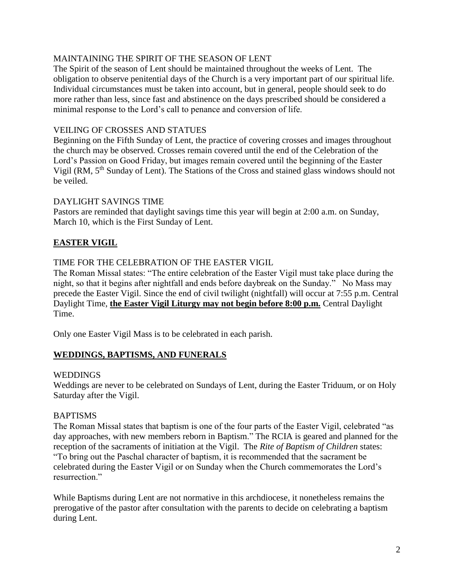#### MAINTAINING THE SPIRIT OF THE SEASON OF LENT

The Spirit of the season of Lent should be maintained throughout the weeks of Lent. The obligation to observe penitential days of the Church is a very important part of our spiritual life. Individual circumstances must be taken into account, but in general, people should seek to do more rather than less, since fast and abstinence on the days prescribed should be considered a minimal response to the Lord's call to penance and conversion of life.

#### VEILING OF CROSSES AND STATUES

Beginning on the Fifth Sunday of Lent, the practice of covering crosses and images throughout the church may be observed. Crosses remain covered until the end of the Celebration of the Lord's Passion on Good Friday, but images remain covered until the beginning of the Easter Vigil (RM, 5<sup>th</sup> Sunday of Lent). The Stations of the Cross and stained glass windows should not be veiled.

#### DAYLIGHT SAVINGS TIME

Pastors are reminded that daylight savings time this year will begin at 2:00 a.m. on Sunday, March 10, which is the First Sunday of Lent.

## **EASTER VIGIL**

#### TIME FOR THE CELEBRATION OF THE EASTER VIGIL

The Roman Missal states: "The entire celebration of the Easter Vigil must take place during the night, so that it begins after nightfall and ends before daybreak on the Sunday." No Mass may precede the Easter Vigil. Since the end of civil twilight (nightfall) will occur at 7:55 p.m. Central Daylight Time, **the Easter Vigil Liturgy may not begin before 8:00 p.m.** Central Daylight Time.

Only one Easter Vigil Mass is to be celebrated in each parish.

#### **WEDDINGS, BAPTISMS, AND FUNERALS**

#### **WEDDINGS**

Weddings are never to be celebrated on Sundays of Lent, during the Easter Triduum, or on Holy Saturday after the Vigil.

#### BAPTISMS

The Roman Missal states that baptism is one of the four parts of the Easter Vigil, celebrated "as day approaches, with new members reborn in Baptism." The RCIA is geared and planned for the reception of the sacraments of initiation at the Vigil. The *Rite of Baptism of Children* states: "To bring out the Paschal character of baptism, it is recommended that the sacrament be celebrated during the Easter Vigil or on Sunday when the Church commemorates the Lord's resurrection."

While Baptisms during Lent are not normative in this archdiocese, it nonetheless remains the prerogative of the pastor after consultation with the parents to decide on celebrating a baptism during Lent.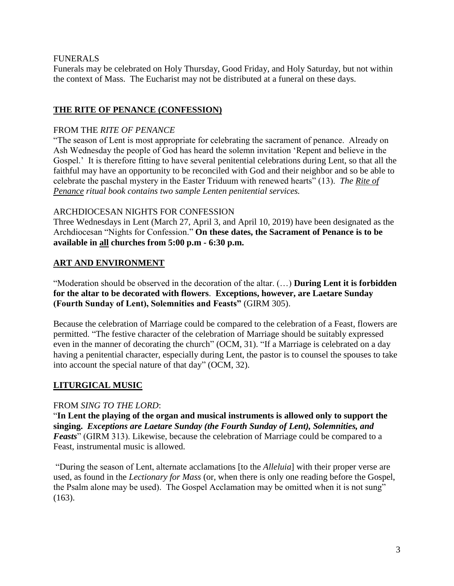#### FUNERALS

Funerals may be celebrated on Holy Thursday, Good Friday, and Holy Saturday, but not within the context of Mass. The Eucharist may not be distributed at a funeral on these days.

### **THE RITE OF PENANCE (CONFESSION)**

#### FROM THE *RITE OF PENANCE*

"The season of Lent is most appropriate for celebrating the sacrament of penance. Already on Ash Wednesday the people of God has heard the solemn invitation 'Repent and believe in the Gospel.' It is therefore fitting to have several penitential celebrations during Lent, so that all the faithful may have an opportunity to be reconciled with God and their neighbor and so be able to celebrate the paschal mystery in the Easter Triduum with renewed hearts" (13). *The Rite of Penance ritual book contains two sample Lenten penitential services.*

#### ARCHDIOCESAN NIGHTS FOR CONFESSION

Three Wednesdays in Lent (March 27, April 3, and April 10, 2019) have been designated as the Archdiocesan "Nights for Confession." **On these dates, the Sacrament of Penance is to be available in all churches from 5:00 p.m - 6:30 p.m.**

## **ART AND ENVIRONMENT**

"Moderation should be observed in the decoration of the altar. (…) **During Lent it is forbidden for the altar to be decorated with flowers**. **Exceptions, however, are Laetare Sunday (Fourth Sunday of Lent), Solemnities and Feasts"** (GIRM 305).

Because the celebration of Marriage could be compared to the celebration of a Feast, flowers are permitted. "The festive character of the celebration of Marriage should be suitably expressed even in the manner of decorating the church" (OCM, 31). "If a Marriage is celebrated on a day having a penitential character, especially during Lent, the pastor is to counsel the spouses to take into account the special nature of that day" (OCM, 32).

#### **LITURGICAL MUSIC**

#### FROM *SING TO THE LORD*:

"**In Lent the playing of the organ and musical instruments is allowed only to support the singing.** *Exceptions are Laetare Sunday (the Fourth Sunday of Lent), Solemnities, and Feasts*" (GIRM 313). Likewise, because the celebration of Marriage could be compared to a Feast, instrumental music is allowed.

"During the season of Lent, alternate acclamations [to the *Alleluia*] with their proper verse are used, as found in the *Lectionary for Mass* (or, when there is only one reading before the Gospel, the Psalm alone may be used). The Gospel Acclamation may be omitted when it is not sung" (163).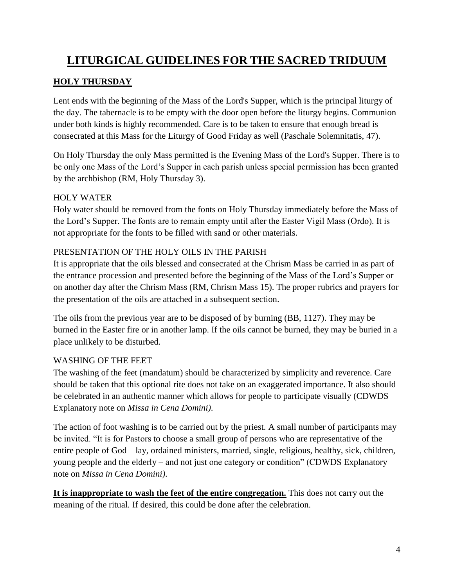# **LITURGICAL GUIDELINES FOR THE SACRED TRIDUUM**

## **HOLY THURSDAY**

Lent ends with the beginning of the Mass of the Lord's Supper, which is the principal liturgy of the day. The tabernacle is to be empty with the door open before the liturgy begins. Communion under both kinds is highly recommended. Care is to be taken to ensure that enough bread is consecrated at this Mass for the Liturgy of Good Friday as well (Paschale Solemnitatis, 47).

On Holy Thursday the only Mass permitted is the Evening Mass of the Lord's Supper. There is to be only one Mass of the Lord's Supper in each parish unless special permission has been granted by the archbishop (RM, Holy Thursday 3).

## HOLY WATER

Holy water should be removed from the fonts on Holy Thursday immediately before the Mass of the Lord's Supper. The fonts are to remain empty until after the Easter Vigil Mass (Ordo). It is not appropriate for the fonts to be filled with sand or other materials.

## PRESENTATION OF THE HOLY OILS IN THE PARISH

It is appropriate that the oils blessed and consecrated at the Chrism Mass be carried in as part of the entrance procession and presented before the beginning of the Mass of the Lord's Supper or on another day after the Chrism Mass (RM, Chrism Mass 15). The proper rubrics and prayers for the presentation of the oils are attached in a subsequent section.

The oils from the previous year are to be disposed of by burning (BB, 1127). They may be burned in the Easter fire or in another lamp. If the oils cannot be burned, they may be buried in a place unlikely to be disturbed.

## WASHING OF THE FEET

The washing of the feet (mandatum) should be characterized by simplicity and reverence. Care should be taken that this optional rite does not take on an exaggerated importance. It also should be celebrated in an authentic manner which allows for people to participate visually (CDWDS Explanatory note on *Missa in Cena Domini)*.

The action of foot washing is to be carried out by the priest. A small number of participants may be invited. "It is for Pastors to choose a small group of persons who are representative of the entire people of God – lay, ordained ministers, married, single, religious, healthy, sick, children, young people and the elderly – and not just one category or condition" (CDWDS Explanatory note on *Missa in Cena Domini)*.

**It is inappropriate to wash the feet of the entire congregation.** This does not carry out the meaning of the ritual. If desired, this could be done after the celebration.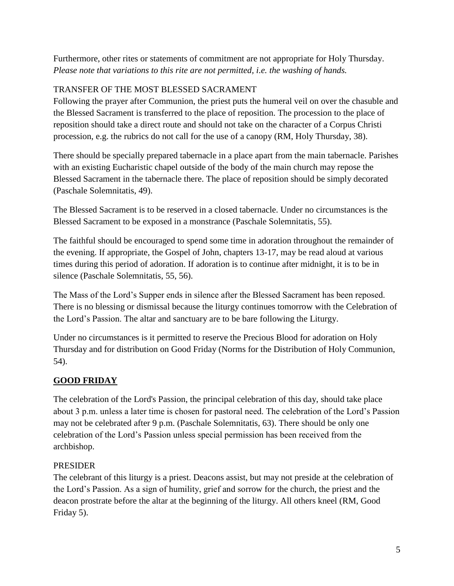Furthermore, other rites or statements of commitment are not appropriate for Holy Thursday. *Please note that variations to this rite are not permitted, i.e. the washing of hands.*

## TRANSFER OF THE MOST BLESSED SACRAMENT

Following the prayer after Communion, the priest puts the humeral veil on over the chasuble and the Blessed Sacrament is transferred to the place of reposition. The procession to the place of reposition should take a direct route and should not take on the character of a Corpus Christi procession, e.g. the rubrics do not call for the use of a canopy (RM, Holy Thursday, 38).

There should be specially prepared tabernacle in a place apart from the main tabernacle. Parishes with an existing Eucharistic chapel outside of the body of the main church may repose the Blessed Sacrament in the tabernacle there. The place of reposition should be simply decorated (Paschale Solemnitatis, 49).

The Blessed Sacrament is to be reserved in a closed tabernacle. Under no circumstances is the Blessed Sacrament to be exposed in a monstrance (Paschale Solemnitatis, 55).

The faithful should be encouraged to spend some time in adoration throughout the remainder of the evening. If appropriate, the Gospel of John, chapters 13-17, may be read aloud at various times during this period of adoration. If adoration is to continue after midnight, it is to be in silence (Paschale Solemnitatis, 55, 56).

The Mass of the Lord's Supper ends in silence after the Blessed Sacrament has been reposed. There is no blessing or dismissal because the liturgy continues tomorrow with the Celebration of the Lord's Passion. The altar and sanctuary are to be bare following the Liturgy.

Under no circumstances is it permitted to reserve the Precious Blood for adoration on Holy Thursday and for distribution on Good Friday (Norms for the Distribution of Holy Communion, 54).

## **GOOD FRIDAY**

The celebration of the Lord's Passion, the principal celebration of this day, should take place about 3 p.m. unless a later time is chosen for pastoral need. The celebration of the Lord's Passion may not be celebrated after 9 p.m. (Paschale Solemnitatis, 63). There should be only one celebration of the Lord's Passion unless special permission has been received from the archbishop.

## PRESIDER

The celebrant of this liturgy is a priest. Deacons assist, but may not preside at the celebration of the Lord's Passion. As a sign of humility, grief and sorrow for the church, the priest and the deacon prostrate before the altar at the beginning of the liturgy. All others kneel (RM, Good Friday 5).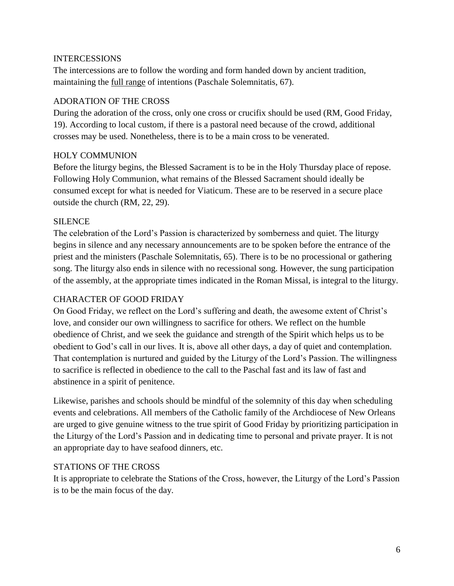#### INTERCESSIONS

The intercessions are to follow the wording and form handed down by ancient tradition, maintaining the full range of intentions (Paschale Solemnitatis, 67).

#### ADORATION OF THE CROSS

During the adoration of the cross, only one cross or crucifix should be used (RM, Good Friday, 19). According to local custom, if there is a pastoral need because of the crowd, additional crosses may be used. Nonetheless, there is to be a main cross to be venerated.

#### HOLY COMMUNION

Before the liturgy begins, the Blessed Sacrament is to be in the Holy Thursday place of repose. Following Holy Communion, what remains of the Blessed Sacrament should ideally be consumed except for what is needed for Viaticum. These are to be reserved in a secure place outside the church (RM, 22, 29).

#### SILENCE

The celebration of the Lord's Passion is characterized by somberness and quiet. The liturgy begins in silence and any necessary announcements are to be spoken before the entrance of the priest and the ministers (Paschale Solemnitatis, 65). There is to be no processional or gathering song. The liturgy also ends in silence with no recessional song. However, the sung participation of the assembly, at the appropriate times indicated in the Roman Missal, is integral to the liturgy.

#### CHARACTER OF GOOD FRIDAY

On Good Friday, we reflect on the Lord's suffering and death, the awesome extent of Christ's love, and consider our own willingness to sacrifice for others. We reflect on the humble obedience of Christ, and we seek the guidance and strength of the Spirit which helps us to be obedient to God's call in our lives. It is, above all other days, a day of quiet and contemplation. That contemplation is nurtured and guided by the Liturgy of the Lord's Passion. The willingness to sacrifice is reflected in obedience to the call to the Paschal fast and its law of fast and abstinence in a spirit of penitence.

Likewise, parishes and schools should be mindful of the solemnity of this day when scheduling events and celebrations. All members of the Catholic family of the Archdiocese of New Orleans are urged to give genuine witness to the true spirit of Good Friday by prioritizing participation in the Liturgy of the Lord's Passion and in dedicating time to personal and private prayer. It is not an appropriate day to have seafood dinners, etc.

#### STATIONS OF THE CROSS

It is appropriate to celebrate the Stations of the Cross, however, the Liturgy of the Lord's Passion is to be the main focus of the day.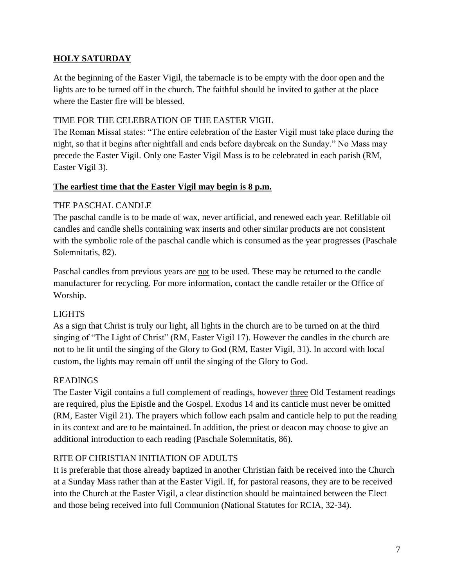## **HOLY SATURDAY**

At the beginning of the Easter Vigil, the tabernacle is to be empty with the door open and the lights are to be turned off in the church. The faithful should be invited to gather at the place where the Easter fire will be blessed.

### TIME FOR THE CELEBRATION OF THE EASTER VIGIL

The Roman Missal states: "The entire celebration of the Easter Vigil must take place during the night, so that it begins after nightfall and ends before daybreak on the Sunday." No Mass may precede the Easter Vigil. Only one Easter Vigil Mass is to be celebrated in each parish (RM, Easter Vigil 3).

#### **The earliest time that the Easter Vigil may begin is 8 p.m.**

## THE PASCHAL CANDLE

The paschal candle is to be made of wax, never artificial, and renewed each year. Refillable oil candles and candle shells containing wax inserts and other similar products are not consistent with the symbolic role of the paschal candle which is consumed as the year progresses (Paschale Solemnitatis, 82).

Paschal candles from previous years are not to be used. These may be returned to the candle manufacturer for recycling. For more information, contact the candle retailer or the Office of Worship.

## LIGHTS

As a sign that Christ is truly our light, all lights in the church are to be turned on at the third singing of "The Light of Christ" (RM, Easter Vigil 17). However the candles in the church are not to be lit until the singing of the Glory to God (RM, Easter Vigil, 31). In accord with local custom, the lights may remain off until the singing of the Glory to God.

## READINGS

The Easter Vigil contains a full complement of readings, however three Old Testament readings are required, plus the Epistle and the Gospel. Exodus 14 and its canticle must never be omitted (RM, Easter Vigil 21). The prayers which follow each psalm and canticle help to put the reading in its context and are to be maintained. In addition, the priest or deacon may choose to give an additional introduction to each reading (Paschale Solemnitatis, 86).

#### RITE OF CHRISTIAN INITIATION OF ADULTS

It is preferable that those already baptized in another Christian faith be received into the Church at a Sunday Mass rather than at the Easter Vigil. If, for pastoral reasons, they are to be received into the Church at the Easter Vigil, a clear distinction should be maintained between the Elect and those being received into full Communion (National Statutes for RCIA, 32-34).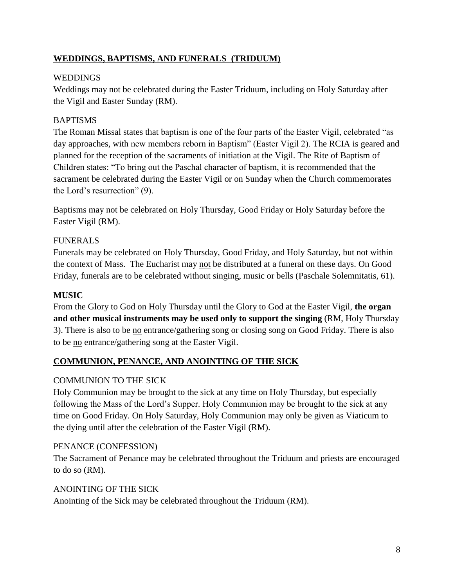## **WEDDINGS, BAPTISMS, AND FUNERALS (TRIDUUM)**

## **WEDDINGS**

Weddings may not be celebrated during the Easter Triduum, including on Holy Saturday after the Vigil and Easter Sunday (RM).

## BAPTISMS

The Roman Missal states that baptism is one of the four parts of the Easter Vigil, celebrated "as day approaches, with new members reborn in Baptism" (Easter Vigil 2). The RCIA is geared and planned for the reception of the sacraments of initiation at the Vigil. The Rite of Baptism of Children states: "To bring out the Paschal character of baptism, it is recommended that the sacrament be celebrated during the Easter Vigil or on Sunday when the Church commemorates the Lord's resurrection" (9).

Baptisms may not be celebrated on Holy Thursday, Good Friday or Holy Saturday before the Easter Vigil (RM).

## FUNERALS

Funerals may be celebrated on Holy Thursday, Good Friday, and Holy Saturday, but not within the context of Mass. The Eucharist may not be distributed at a funeral on these days. On Good Friday, funerals are to be celebrated without singing, music or bells (Paschale Solemnitatis, 61).

## **MUSIC**

From the Glory to God on Holy Thursday until the Glory to God at the Easter Vigil, **the organ and other musical instruments may be used only to support the singing** (RM, Holy Thursday 3). There is also to be no entrance/gathering song or closing song on Good Friday. There is also to be no entrance/gathering song at the Easter Vigil.

## **COMMUNION, PENANCE, AND ANOINTING OF THE SICK**

## COMMUNION TO THE SICK

Holy Communion may be brought to the sick at any time on Holy Thursday, but especially following the Mass of the Lord's Supper. Holy Communion may be brought to the sick at any time on Good Friday. On Holy Saturday, Holy Communion may only be given as Viaticum to the dying until after the celebration of the Easter Vigil (RM).

#### PENANCE (CONFESSION)

The Sacrament of Penance may be celebrated throughout the Triduum and priests are encouraged to do so (RM).

#### ANOINTING OF THE SICK

Anointing of the Sick may be celebrated throughout the Triduum (RM).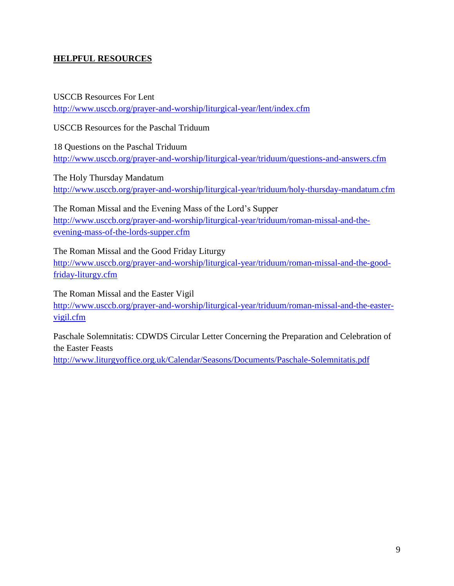## **HELPFUL RESOURCES**

USCCB Resources For Lent <http://www.usccb.org/prayer-and-worship/liturgical-year/lent/index.cfm>

USCCB Resources for the Paschal Triduum

18 Questions on the Paschal Triduum <http://www.usccb.org/prayer-and-worship/liturgical-year/triduum/questions-and-answers.cfm>

The Holy Thursday Mandatum <http://www.usccb.org/prayer-and-worship/liturgical-year/triduum/holy-thursday-mandatum.cfm>

The Roman Missal and the Evening Mass of the Lord's Supper [http://www.usccb.org/prayer-and-worship/liturgical-year/triduum/roman-missal-and-the](http://www.usccb.org/prayer-and-worship/liturgical-year/triduum/roman-missal-and-the-evening-mass-of-the-lords-supper.cfm)[evening-mass-of-the-lords-supper.cfm](http://www.usccb.org/prayer-and-worship/liturgical-year/triduum/roman-missal-and-the-evening-mass-of-the-lords-supper.cfm)

The Roman Missal and the Good Friday Liturgy [http://www.usccb.org/prayer-and-worship/liturgical-year/triduum/roman-missal-and-the-good](http://www.usccb.org/prayer-and-worship/liturgical-year/triduum/roman-missal-and-the-good-friday-liturgy.cfm)[friday-liturgy.cfm](http://www.usccb.org/prayer-and-worship/liturgical-year/triduum/roman-missal-and-the-good-friday-liturgy.cfm)

The Roman Missal and the Easter Vigil

[http://www.usccb.org/prayer-and-worship/liturgical-year/triduum/roman-missal-and-the-easter](http://www.usccb.org/prayer-and-worship/liturgical-year/triduum/roman-missal-and-the-easter-vigil.cfm)[vigil.cfm](http://www.usccb.org/prayer-and-worship/liturgical-year/triduum/roman-missal-and-the-easter-vigil.cfm)

Paschale Solemnitatis: CDWDS Circular Letter Concerning the Preparation and Celebration of the Easter Feasts

<http://www.liturgyoffice.org.uk/Calendar/Seasons/Documents/Paschale-Solemnitatis.pdf>